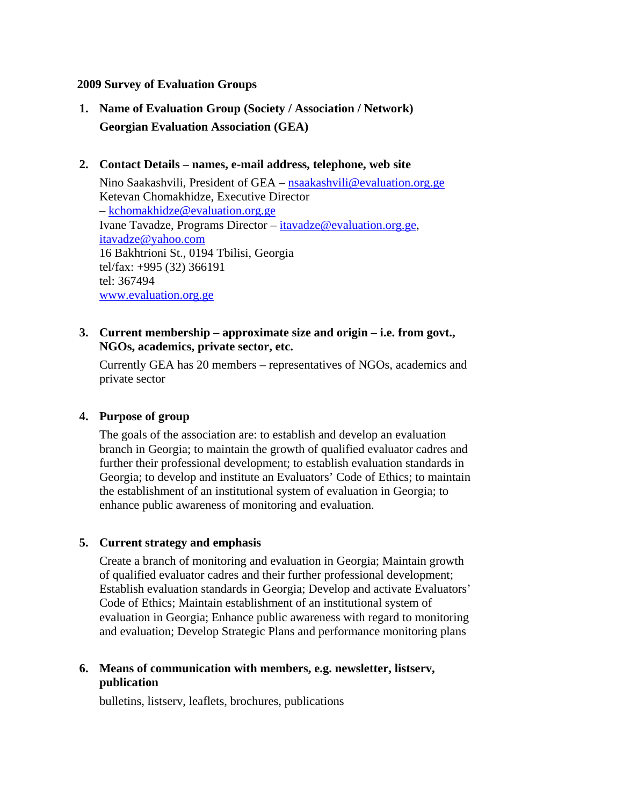#### **2009 Survey of Evaluation Groups**

**1. Name of Evaluation Group (Society / Association / Network) Georgian Evaluation Association (GEA)**

#### **2. Contact Details – names, e-mail address, telephone, web site**

Nino Saakashvili, President of GEA – nsaakashvili@evaluation.org.ge Ketevan Chomakhidze, Executive Director – kchomakhidze@evaluation.org.ge Ivane Tavadze, Programs Director – itavadze@evaluation.org.ge, itavadze@yahoo.com 16 Bakhtrioni St., 0194 Tbilisi, Georgia tel/fax: +995 (32) 366191 tel: 367494 www.evaluation.org.ge

### **3. Current membership – approximate size and origin – i.e. from govt., NGOs, academics, private sector, etc.**

Currently GEA has 20 members – representatives of NGOs, academics and private sector

#### **4. Purpose of group**

The goals of the association are: to establish and develop an evaluation branch in Georgia; to maintain the growth of qualified evaluator cadres and further their professional development; to establish evaluation standards in Georgia; to develop and institute an Evaluators' Code of Ethics; to maintain the establishment of an institutional system of evaluation in Georgia; to enhance public awareness of monitoring and evaluation.

#### **5. Current strategy and emphasis**

 Create a branch of monitoring and evaluation in Georgia; Maintain growth of qualified evaluator cadres and their further professional development; Establish evaluation standards in Georgia; Develop and activate Evaluators' Code of Ethics; Maintain establishment of an institutional system of evaluation in Georgia; Enhance public awareness with regard to monitoring and evaluation; Develop Strategic Plans and performance monitoring plans

## **6. Means of communication with members, e.g. newsletter, listserv, publication**

bulletins, listserv, leaflets, brochures, publications